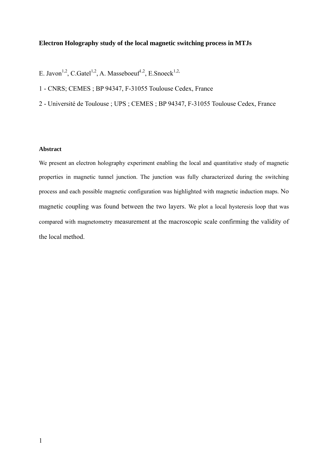## **Electron Holography study of the local magnetic switching process in MTJs**

- E. Javon<sup>1,2</sup>, C.Gatel<sup>1,2</sup>, A. Masseboeuf<sup>1,2</sup>, E.Snoeck<sup>1,2,</sup>
- 1 CNRS; CEMES ; BP 94347, F-31055 Toulouse Cedex, France
- 2 Université de Toulouse ; UPS ; CEMES ; BP 94347, F-31055 Toulouse Cedex, France

### **Abstract**

We present an electron holography experiment enabling the local and quantitative study of magnetic properties in magnetic tunnel junction. The junction was fully characterized during the switching process and each possible magnetic configuration was highlighted with magnetic induction maps. No magnetic coupling was found between the two layers. We plot a local hysteresis loop that was compared with magnetometry measurement at the macroscopic scale confirming the validity of the local method.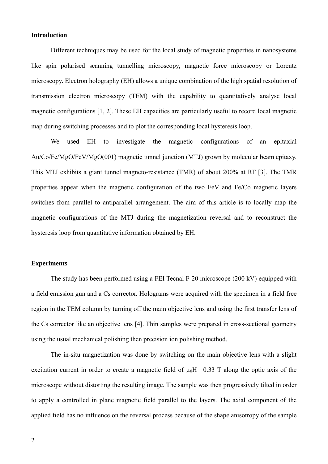### **Introduction**

Different techniques may be used for the local study of magnetic properties in nanosystems like spin polarised scanning tunnelling microscopy, magnetic force microscopy or Lorentz microscopy. Electron holography (EH) allows a unique combination of the high spatial resolution of transmission electron microscopy (TEM) with the capability to quantitatively analyse local magnetic configurations [1, 2]. These EH capacities are particularly useful to record local magnetic map during switching processes and to plot the corresponding local hysteresis loop.

We used EH to investigate the magnetic configurations of an epitaxial Au/Co/Fe/MgO/FeV/MgO(001) magnetic tunnel junction (MTJ) grown by molecular beam epitaxy. This MTJ exhibits a giant tunnel magneto-resistance (TMR) of about 200% at RT [3]. The TMR properties appear when the magnetic configuration of the two FeV and Fe/Co magnetic layers switches from parallel to antiparallel arrangement. The aim of this article is to locally map the magnetic configurations of the MTJ during the magnetization reversal and to reconstruct the hysteresis loop from quantitative information obtained by EH.

# **Experiments**

The study has been performed using a FEI Tecnai F-20 microscope (200 kV) equipped with a field emission gun and a Cs corrector. Holograms were acquired with the specimen in a field free region in the TEM column by turning off the main objective lens and using the first transfer lens of the Cs corrector like an objective lens [4]. Thin samples were prepared in cross-sectional geometry using the usual mechanical polishing then precision ion polishing method.

The in-situ magnetization was done by switching on the main objective lens with a slight excitation current in order to create a magnetic field of  $\mu_0$ H= 0.33 T along the optic axis of the microscope without distorting the resulting image. The sample was then progressively tilted in order to apply a controlled in plane magnetic field parallel to the layers. The axial component of the applied field has no influence on the reversal process because of the shape anisotropy of the sample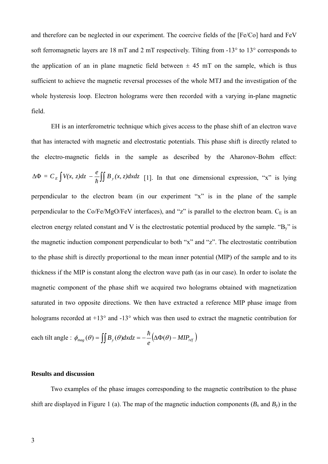and therefore can be neglected in our experiment. The coercive fields of the [Fe/Co] hard and FeV soft ferromagnetic layers are 18 mT and 2 mT respectively. Tilting from -13° to 13° corresponds to the application of an in plane magnetic field between  $\pm 45$  mT on the sample, which is thus sufficient to achieve the magnetic reversal processes of the whole MTJ and the investigation of the whole hysteresis loop. Electron holograms were then recorded with a varying in-plane magnetic field.

EH is an interferometric technique which gives access to the phase shift of an electron wave that has interacted with magnetic and electrostatic potentials. This phase shift is directly related to the electro-magnetic fields in the sample as described by the Aharonov-Bohm effect:  $\Delta \Phi = C_E \int V(x, z) dz - \frac{e}{\hbar} \int \int B_y(x, z) dx dz$  [1]. In that one dimensional expression, "x" is lying perpendicular to the electron beam (in our experiment "x" is in the plane of the sample perpendicular to the Co/Fe/MgO/FeV interfaces), and "z" is parallel to the electron beam.  $C_E$  is an electron energy related constant and V is the electrostatic potential produced by the sample. " $B_y$ " is the magnetic induction component perpendicular to both "x" and "z". The electrostatic contribution to the phase shift is directly proportional to the mean inner potential (MIP) of the sample and to its thickness if the MIP is constant along the electron wave path (as in our case). In order to isolate the magnetic component of the phase shift we acquired two holograms obtained with magnetization saturated in two opposite directions. We then have extracted a reference MIP phase image from holograms recorded at +13° and -13° which was then used to extract the magnetic contribution for each tilt angle :  $\phi_{mag}(\theta) = \iint B_y(\theta) dxdz = -\frac{\hbar}{a}(\Delta \Phi(\theta) - MIP_{ref})$ 

#### **Results and discussion**

Two examples of the phase images corresponding to the magnetic contribution to the phase shift are displayed in Figure 1 (a). The map of the magnetic induction components  $(B_x \text{ and } B_y)$  in the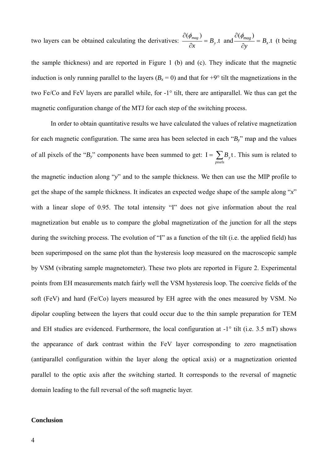two layers can be obtained calculating the derivatives:  $\frac{\partial (\phi_{mag})}{\partial x} = B_y$ .t  $rac{\partial(\phi_{mag})}{\partial x} = B_y$ , t and  $rac{\partial(\phi_{mag})}{\partial y} = B_x$ .  $\frac{\partial(\phi_{mag})}{\partial x} = B_x$ .t (t being

the sample thickness) and are reported in Figure 1 (b) and (c). They indicate that the magnetic induction is only running parallel to the layers  $(B_x = 0)$  and that for  $+9^{\circ}$  tilt the magnetizations in the two Fe/Co and FeV layers are parallel while, for -1° tilt, there are antiparallel. We thus can get the magnetic configuration change of the MTJ for each step of the switching process.

In order to obtain quantitative results we have calculated the values of relative magnetization for each magnetic configuration. The same area has been selected in each "*By*" map and the values of all pixels of the " $B_y$ " components have been summed to get:  $I = \sum_{\text{pixels}} B_y t$ *By* . This sum is related to

the magnetic induction along "*y*" and to the sample thickness. We then can use the MIP profile to get the shape of the sample thickness. It indicates an expected wedge shape of the sample along "*x*" with a linear slope of 0.95. The total intensity "I" does not give information about the real magnetization but enable us to compare the global magnetization of the junction for all the steps during the switching process. The evolution of "I" as a function of the tilt (i.e. the applied field) has been superimposed on the same plot than the hysteresis loop measured on the macroscopic sample by VSM (vibrating sample magnetometer). These two plots are reported in Figure 2. Experimental points from EH measurements match fairly well the VSM hysteresis loop. The coercive fields of the soft (FeV) and hard (Fe/Co) layers measured by EH agree with the ones measured by VSM. No dipolar coupling between the layers that could occur due to the thin sample preparation for TEM and EH studies are evidenced. Furthermore, the local configuration at -1° tilt (i.e. 3.5 mT) shows the appearance of dark contrast within the FeV layer corresponding to zero magnetisation (antiparallel configuration within the layer along the optical axis) or a magnetization oriented parallel to the optic axis after the switching started. It corresponds to the reversal of magnetic domain leading to the full reversal of the soft magnetic layer.

# **Conclusion**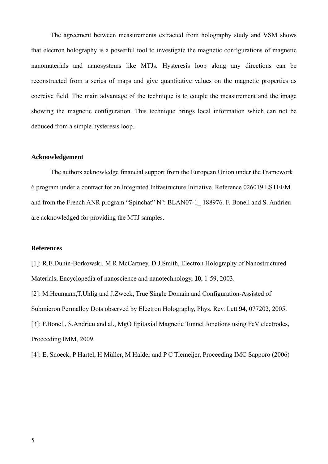The agreement between measurements extracted from holography study and VSM shows that electron holography is a powerful tool to investigate the magnetic configurations of magnetic nanomaterials and nanosystems like MTJs. Hysteresis loop along any directions can be reconstructed from a series of maps and give quantitative values on the magnetic properties as coercive field. The main advantage of the technique is to couple the measurement and the image showing the magnetic configuration. This technique brings local information which can not be deduced from a simple hysteresis loop.

## **Acknowledgement**

The authors acknowledge financial support from the European Union under the Framework 6 program under a contract for an Integrated Infrastructure Initiative. Reference 026019 ESTEEM and from the French ANR program "Spinchat" N°: BLAN07-1 188976. F. Bonell and S. Andrieu are acknowledged for providing the MTJ samples.

### **References**

[1]: R.E.Dunin-Borkowski, M.R.McCartney, D.J.Smith, Electron Holography of Nanostructured Materials, Encyclopedia of nanoscience and nanotechnology, **10**, 1-59, 2003.

[2]: M.Heumann,T.Uhlig and J.Zweck, True Single Domain and Configuration-Assisted of Submicron Permalloy Dots observed by Electron Holography, Phys. Rev. Lett **94**, 077202, 2005. [3]: F.Bonell, S.Andrieu and al., MgO Epitaxial Magnetic Tunnel Jonctions using FeV electrodes, Proceeding IMM, 2009.

[4]: E. Snoeck, P Hartel, H Müller, M Haider and P C Tiemeijer, Proceeding IMC Sapporo (2006)